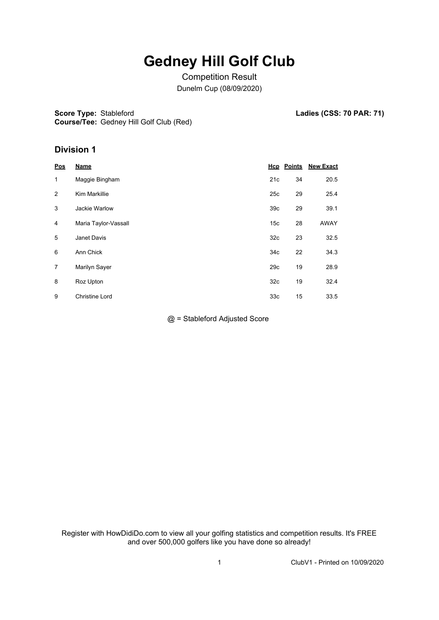## **Gedney Hill Golf Club**

Competition Result Dunelm Cup (08/09/2020)

**Score Type: Stableford** 

Ladies (CSS: 70 PAR: 71)

**Course/Tee:** Gedney Hill Golf Club (Red)

## **Division 1**

| <u>Pos</u> | <b>Name</b>           |                 | <b>Hcp</b> Points | <b>New Exact</b> |
|------------|-----------------------|-----------------|-------------------|------------------|
| 1          | Maggie Bingham        | 21c             | 34                | 20.5             |
| 2          | Kim Markillie         | 25c             | 29                | 25.4             |
| 3          | Jackie Warlow         | 39 <sub>c</sub> | 29                | 39.1             |
| 4          | Maria Taylor-Vassall  | 15 <sub>c</sub> | 28                | <b>AWAY</b>      |
| 5          | Janet Davis           | 32 <sub>c</sub> | 23                | 32.5             |
| 6          | Ann Chick             | 34 <sub>c</sub> | 22                | 34.3             |
| 7          | Marilyn Sayer         | 29c             | 19                | 28.9             |
| 8          | Roz Upton             | 32 <sub>c</sub> | 19                | 32.4             |
| 9          | <b>Christine Lord</b> | 33 <sub>c</sub> | 15                | 33.5             |

@ = Stableford Adjusted Score

Register with HowDidiDo.com to view all your golfing statistics and competition results. It's FREE and over 500,000 golfers like you have done so already!